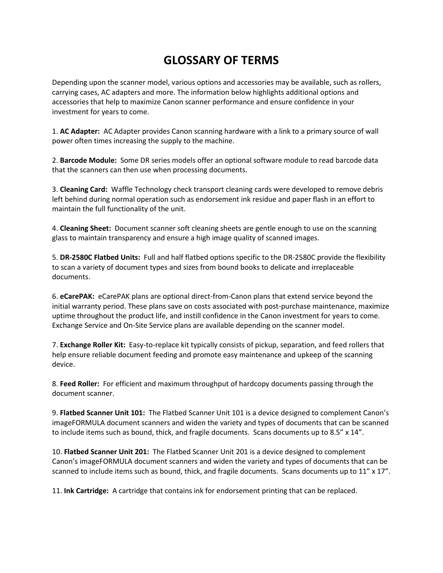## **GLOSSARY OF TERMS**

Depending upon the scanner model, various options and accessories may be available, such as rollers, carrying cases, AC adapters and more. The information below highlights additional options and accessories that help to maximize Canon scanner performance and ensure confidence in your investment for years to come.

1. **AC Adapter:** AC Adapter provides Canon scanning hardware with a link to a primary source of wall power often times increasing the supply to the machine.

2. **Barcode Module:** Some DR series models offer an optional software module to read barcode data that the scanners can then use when processing documents.

3. **Cleaning Card:** Waffle Technology check transport cleaning cards were developed to remove debris left behind during normal operation such as endorsement ink residue and paper flash in an effort to maintain the full functionality of the unit.

4. **Cleaning Sheet:** Document scanner soft cleaning sheets are gentle enough to use on the scanning glass to maintain transparency and ensure a high image quality of scanned images.

5. **DR-2580C Flatbed Units:** Full and half flatbed options specific to the DR-2580C provide the flexibility to scan a variety of document types and sizes from bound books to delicate and irreplaceable documents.

6. **eCarePAK:** eCarePAK plans are optional direct-from-Canon plans that extend service beyond the initial warranty period. These plans save on costs associated with post-purchase maintenance, maximize uptime throughout the product life, and instill confidence in the Canon investment for years to come. Exchange Service and On-Site Service plans are available depending on the scanner model.

7. **Exchange Roller Kit:** Easy-to-replace kit typically consists of pickup, separation, and feed rollers that help ensure reliable document feeding and promote easy maintenance and upkeep of the scanning device.

8. **Feed Roller:** For efficient and maximum throughput of hardcopy documents passing through the document scanner.

9. **Flatbed Scanner Unit 101:** The Flatbed Scanner Unit 101 is a device designed to complement Canon's imageFORMULA document scanners and widen the variety and types of documents that can be scanned to include items such as bound, thick, and fragile documents. Scans documents up to 8.5" x 14".

10. **Flatbed Scanner Unit 201:** The Flatbed Scanner Unit 201 is a device designed to complement Canon's imageFORMULA document scanners and widen the variety and types of documents that can be scanned to include items such as bound, thick, and fragile documents. Scans documents up to 11" x 17".

11. **Ink Cartridge:** A cartridge that contains ink for endorsement printing that can be replaced.